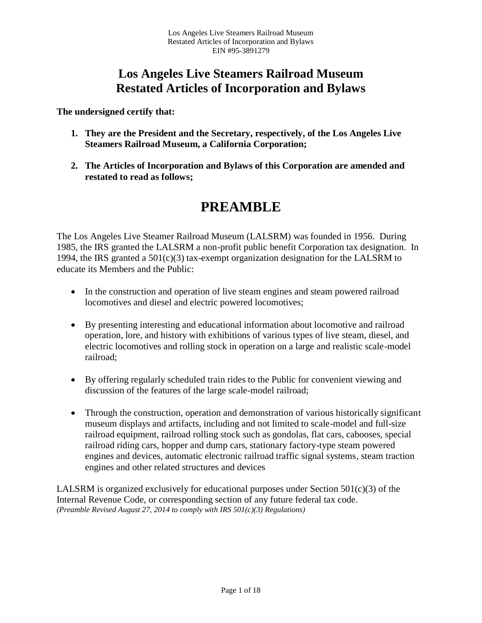**The undersigned certify that:**

- **1. They are the President and the Secretary, respectively, of the Los Angeles Live Steamers Railroad Museum, a California Corporation;**
- **2. The Articles of Incorporation and Bylaws of this Corporation are amended and restated to read as follows;**

# **PREAMBLE**

The Los Angeles Live Steamer Railroad Museum (LALSRM) was founded in 1956. During 1985, the IRS granted the LALSRM a non-profit public benefit Corporation tax designation. In 1994, the IRS granted a 501(c)(3) tax-exempt organization designation for the LALSRM to educate its Members and the Public:

- In the construction and operation of live steam engines and steam powered railroad locomotives and diesel and electric powered locomotives;
- By presenting interesting and educational information about locomotive and railroad operation, lore, and history with exhibitions of various types of live steam, diesel, and electric locomotives and rolling stock in operation on a large and realistic scale-model railroad;
- By offering regularly scheduled train rides to the Public for convenient viewing and discussion of the features of the large scale-model railroad;
- Through the construction, operation and demonstration of various historically significant museum displays and artifacts, including and not limited to scale-model and full-size railroad equipment, railroad rolling stock such as gondolas, flat cars, cabooses, special railroad riding cars, hopper and dump cars, stationary factory-type steam powered engines and devices, automatic electronic railroad traffic signal systems, steam traction engines and other related structures and devices

LALSRM is organized exclusively for educational purposes under Section 501(c)(3) of the Internal Revenue Code, or corresponding section of any future federal tax code. *(Preamble Revised August 27, 2014 to comply with IRS 501(c)(3) Regulations)*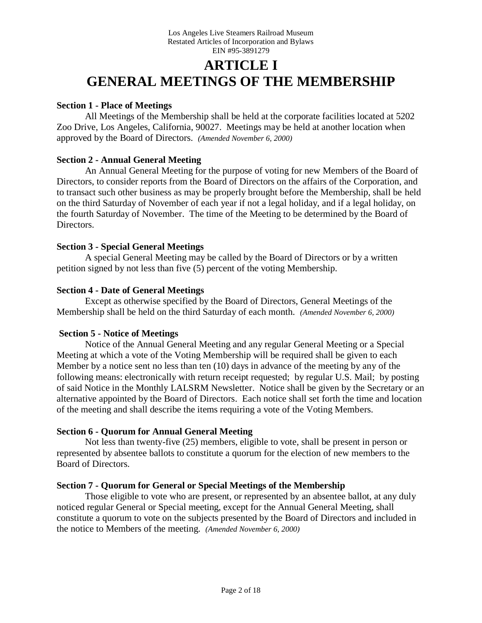# **ARTICLE I GENERAL MEETINGS OF THE MEMBERSHIP**

### **Section 1 - Place of Meetings**

All Meetings of the Membership shall be held at the corporate facilities located at 5202 Zoo Drive, Los Angeles, California, 90027. Meetings may be held at another location when approved by the Board of Directors. *(Amended November 6, 2000)*

# **Section 2 - Annual General Meeting**

An Annual General Meeting for the purpose of voting for new Members of the Board of Directors, to consider reports from the Board of Directors on the affairs of the Corporation, and to transact such other business as may be properly brought before the Membership, shall be held on the third Saturday of November of each year if not a legal holiday, and if a legal holiday, on the fourth Saturday of November. The time of the Meeting to be determined by the Board of Directors.

# **Section 3 - Special General Meetings**

A special General Meeting may be called by the Board of Directors or by a written petition signed by not less than five (5) percent of the voting Membership.

# **Section 4 - Date of General Meetings**

Except as otherwise specified by the Board of Directors, General Meetings of the Membership shall be held on the third Saturday of each month. *(Amended November 6, 2000)*

#### **Section 5 - Notice of Meetings**

Notice of the Annual General Meeting and any regular General Meeting or a Special Meeting at which a vote of the Voting Membership will be required shall be given to each Member by a notice sent no less than ten (10) days in advance of the meeting by any of the following means: electronically with return receipt requested; by regular U.S. Mail; by posting of said Notice in the Monthly LALSRM Newsletter. Notice shall be given by the Secretary or an alternative appointed by the Board of Directors. Each notice shall set forth the time and location of the meeting and shall describe the items requiring a vote of the Voting Members.

# **Section 6 - Quorum for Annual General Meeting**

Not less than twenty-five (25) members, eligible to vote, shall be present in person or represented by absentee ballots to constitute a quorum for the election of new members to the Board of Directors.

# **Section 7 - Quorum for General or Special Meetings of the Membership**

Those eligible to vote who are present, or represented by an absentee ballot, at any duly noticed regular General or Special meeting, except for the Annual General Meeting, shall constitute a quorum to vote on the subjects presented by the Board of Directors and included in the notice to Members of the meeting. *(Amended November 6, 2000)*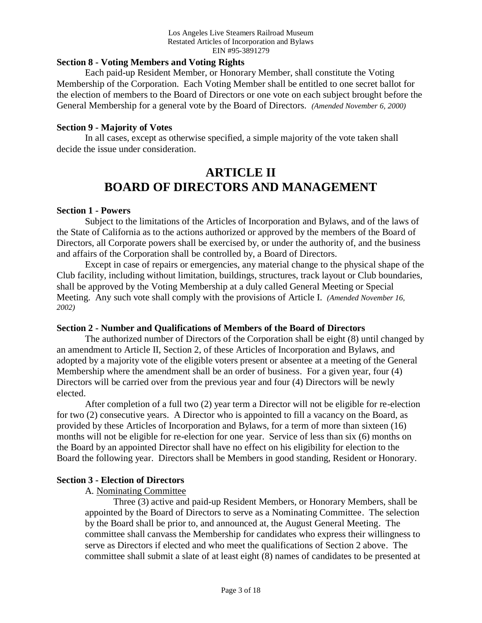#### **Section 8 - Voting Members and Voting Rights**

Each paid-up Resident Member, or Honorary Member, shall constitute the Voting Membership of the Corporation. Each Voting Member shall be entitled to one secret ballot for the election of members to the Board of Directors or one vote on each subject brought before the General Membership for a general vote by the Board of Directors. *(Amended November 6, 2000)*

#### **Section 9 - Majority of Votes**

In all cases, except as otherwise specified, a simple majority of the vote taken shall decide the issue under consideration.

# **ARTICLE II BOARD OF DIRECTORS AND MANAGEMENT**

#### **Section 1 - Powers**

Subject to the limitations of the Articles of Incorporation and Bylaws, and of the laws of the State of California as to the actions authorized or approved by the members of the Board of Directors, all Corporate powers shall be exercised by, or under the authority of, and the business and affairs of the Corporation shall be controlled by, a Board of Directors.

Except in case of repairs or emergencies, any material change to the physical shape of the Club facility, including without limitation, buildings, structures, track layout or Club boundaries, shall be approved by the Voting Membership at a duly called General Meeting or Special Meeting. Any such vote shall comply with the provisions of Article I. *(Amended November 16, 2002)*

#### **Section 2 - Number and Qualifications of Members of the Board of Directors**

The authorized number of Directors of the Corporation shall be eight (8) until changed by an amendment to Article II, Section 2, of these Articles of Incorporation and Bylaws, and adopted by a majority vote of the eligible voters present or absentee at a meeting of the General Membership where the amendment shall be an order of business. For a given year, four (4) Directors will be carried over from the previous year and four (4) Directors will be newly elected.

After completion of a full two (2) year term a Director will not be eligible for re-election for two (2) consecutive years. A Director who is appointed to fill a vacancy on the Board, as provided by these Articles of Incorporation and Bylaws, for a term of more than sixteen (16) months will not be eligible for re-election for one year. Service of less than six (6) months on the Board by an appointed Director shall have no effect on his eligibility for election to the Board the following year. Directors shall be Members in good standing, Resident or Honorary.

#### **Section 3 - Election of Directors**

A. Nominating Committee

Three (3) active and paid-up Resident Members, or Honorary Members, shall be appointed by the Board of Directors to serve as a Nominating Committee. The selection by the Board shall be prior to, and announced at, the August General Meeting. The committee shall canvass the Membership for candidates who express their willingness to serve as Directors if elected and who meet the qualifications of Section 2 above. The committee shall submit a slate of at least eight (8) names of candidates to be presented at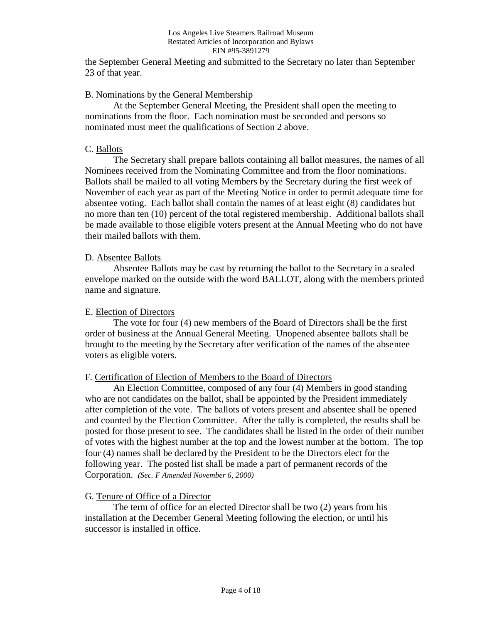the September General Meeting and submitted to the Secretary no later than September 23 of that year.

#### B. Nominations by the General Membership

At the September General Meeting, the President shall open the meeting to nominations from the floor. Each nomination must be seconded and persons so nominated must meet the qualifications of Section 2 above.

# C. Ballots

The Secretary shall prepare ballots containing all ballot measures, the names of all Nominees received from the Nominating Committee and from the floor nominations. Ballots shall be mailed to all voting Members by the Secretary during the first week of November of each year as part of the Meeting Notice in order to permit adequate time for absentee voting. Each ballot shall contain the names of at least eight (8) candidates but no more than ten (10) percent of the total registered membership. Additional ballots shall be made available to those eligible voters present at the Annual Meeting who do not have their mailed ballots with them.

# D. Absentee Ballots

Absentee Ballots may be cast by returning the ballot to the Secretary in a sealed envelope marked on the outside with the word BALLOT, along with the members printed name and signature.

### E. Election of Directors

The vote for four (4) new members of the Board of Directors shall be the first order of business at the Annual General Meeting. Unopened absentee ballots shall be brought to the meeting by the Secretary after verification of the names of the absentee voters as eligible voters.

#### F. Certification of Election of Members to the Board of Directors

An Election Committee, composed of any four (4) Members in good standing who are not candidates on the ballot, shall be appointed by the President immediately after completion of the vote. The ballots of voters present and absentee shall be opened and counted by the Election Committee. After the tally is completed, the results shall be posted for those present to see. The candidates shall be listed in the order of their number of votes with the highest number at the top and the lowest number at the bottom. The top four (4) names shall be declared by the President to be the Directors elect for the following year. The posted list shall be made a part of permanent records of the Corporation. *(Sec. F Amended November 6, 2000)*

#### G. Tenure of Office of a Director

The term of office for an elected Director shall be two (2) years from his installation at the December General Meeting following the election, or until his successor is installed in office.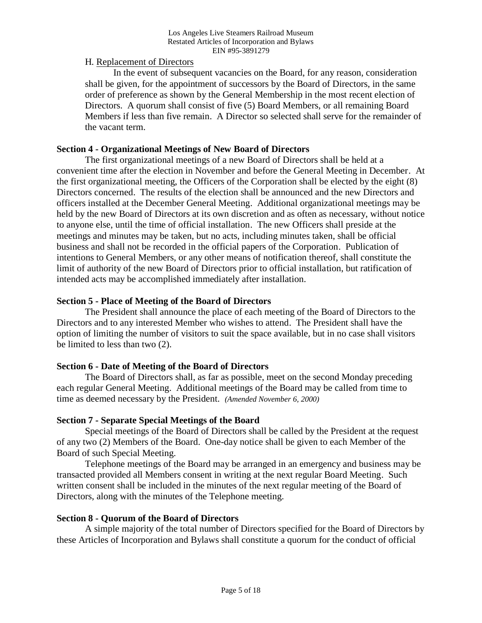### H. Replacement of Directors

In the event of subsequent vacancies on the Board, for any reason, consideration shall be given, for the appointment of successors by the Board of Directors, in the same order of preference as shown by the General Membership in the most recent election of Directors. A quorum shall consist of five (5) Board Members, or all remaining Board Members if less than five remain. A Director so selected shall serve for the remainder of the vacant term.

### **Section 4 - Organizational Meetings of New Board of Directors**

The first organizational meetings of a new Board of Directors shall be held at a convenient time after the election in November and before the General Meeting in December. At the first organizational meeting, the Officers of the Corporation shall be elected by the eight (8) Directors concerned. The results of the election shall be announced and the new Directors and officers installed at the December General Meeting. Additional organizational meetings may be held by the new Board of Directors at its own discretion and as often as necessary, without notice to anyone else, until the time of official installation. The new Officers shall preside at the meetings and minutes may be taken, but no acts, including minutes taken, shall be official business and shall not be recorded in the official papers of the Corporation. Publication of intentions to General Members, or any other means of notification thereof, shall constitute the limit of authority of the new Board of Directors prior to official installation, but ratification of intended acts may be accomplished immediately after installation.

# **Section 5 - Place of Meeting of the Board of Directors**

The President shall announce the place of each meeting of the Board of Directors to the Directors and to any interested Member who wishes to attend. The President shall have the option of limiting the number of visitors to suit the space available, but in no case shall visitors be limited to less than two (2).

# **Section 6 - Date of Meeting of the Board of Directors**

The Board of Directors shall, as far as possible, meet on the second Monday preceding each regular General Meeting. Additional meetings of the Board may be called from time to time as deemed necessary by the President. *(Amended November 6, 2000)*

#### **Section 7 - Separate Special Meetings of the Board**

Special meetings of the Board of Directors shall be called by the President at the request of any two (2) Members of the Board. One-day notice shall be given to each Member of the Board of such Special Meeting.

Telephone meetings of the Board may be arranged in an emergency and business may be transacted provided all Members consent in writing at the next regular Board Meeting. Such written consent shall be included in the minutes of the next regular meeting of the Board of Directors, along with the minutes of the Telephone meeting.

#### **Section 8 - Quorum of the Board of Directors**

A simple majority of the total number of Directors specified for the Board of Directors by these Articles of Incorporation and Bylaws shall constitute a quorum for the conduct of official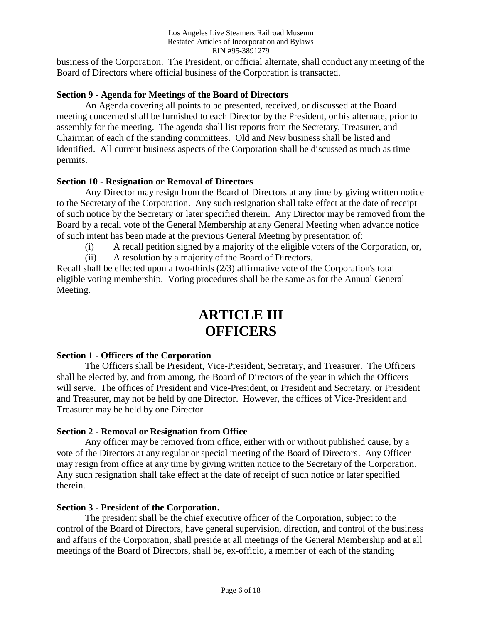business of the Corporation. The President, or official alternate, shall conduct any meeting of the Board of Directors where official business of the Corporation is transacted.

# **Section 9 - Agenda for Meetings of the Board of Directors**

An Agenda covering all points to be presented, received, or discussed at the Board meeting concerned shall be furnished to each Director by the President, or his alternate, prior to assembly for the meeting. The agenda shall list reports from the Secretary, Treasurer, and Chairman of each of the standing committees. Old and New business shall be listed and identified. All current business aspects of the Corporation shall be discussed as much as time permits.

#### **Section 10 - Resignation or Removal of Directors**

Any Director may resign from the Board of Directors at any time by giving written notice to the Secretary of the Corporation. Any such resignation shall take effect at the date of receipt of such notice by the Secretary or later specified therein. Any Director may be removed from the Board by a recall vote of the General Membership at any General Meeting when advance notice of such intent has been made at the previous General Meeting by presentation of:

- (i) A recall petition signed by a majority of the eligible voters of the Corporation, or,
- (ii) A resolution by a majority of the Board of Directors.

Recall shall be effected upon a two-thirds (2/3) affirmative vote of the Corporation's total eligible voting membership. Voting procedures shall be the same as for the Annual General Meeting.

# **ARTICLE III OFFICERS**

#### **Section 1 - Officers of the Corporation**

The Officers shall be President, Vice-President, Secretary, and Treasurer. The Officers shall be elected by, and from among, the Board of Directors of the year in which the Officers will serve. The offices of President and Vice-President, or President and Secretary, or President and Treasurer, may not be held by one Director. However, the offices of Vice-President and Treasurer may be held by one Director.

#### **Section 2 - Removal or Resignation from Office**

Any officer may be removed from office, either with or without published cause, by a vote of the Directors at any regular or special meeting of the Board of Directors. Any Officer may resign from office at any time by giving written notice to the Secretary of the Corporation. Any such resignation shall take effect at the date of receipt of such notice or later specified therein.

#### **Section 3 - President of the Corporation.**

The president shall be the chief executive officer of the Corporation, subject to the control of the Board of Directors, have general supervision, direction, and control of the business and affairs of the Corporation, shall preside at all meetings of the General Membership and at all meetings of the Board of Directors, shall be, ex-officio, a member of each of the standing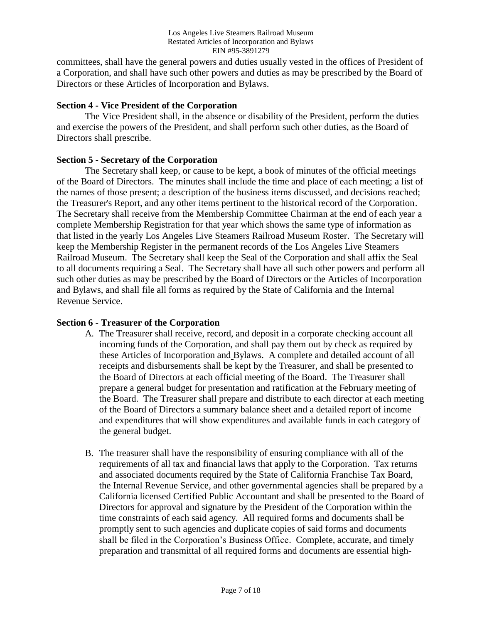committees, shall have the general powers and duties usually vested in the offices of President of a Corporation, and shall have such other powers and duties as may be prescribed by the Board of Directors or these Articles of Incorporation and Bylaws.

### **Section 4 - Vice President of the Corporation**

The Vice President shall, in the absence or disability of the President, perform the duties and exercise the powers of the President, and shall perform such other duties, as the Board of Directors shall prescribe.

#### **Section 5 - Secretary of the Corporation**

The Secretary shall keep, or cause to be kept, a book of minutes of the official meetings of the Board of Directors. The minutes shall include the time and place of each meeting; a list of the names of those present; a description of the business items discussed, and decisions reached; the Treasurer's Report, and any other items pertinent to the historical record of the Corporation. The Secretary shall receive from the Membership Committee Chairman at the end of each year a complete Membership Registration for that year which shows the same type of information as that listed in the yearly Los Angeles Live Steamers Railroad Museum Roster. The Secretary will keep the Membership Register in the permanent records of the Los Angeles Live Steamers Railroad Museum. The Secretary shall keep the Seal of the Corporation and shall affix the Seal to all documents requiring a Seal. The Secretary shall have all such other powers and perform all such other duties as may be prescribed by the Board of Directors or the Articles of Incorporation and Bylaws, and shall file all forms as required by the State of California and the Internal Revenue Service.

# **Section 6 - Treasurer of the Corporation**

- A. The Treasurer shall receive, record, and deposit in a corporate checking account all incoming funds of the Corporation, and shall pay them out by check as required by these Articles of Incorporation and Bylaws. A complete and detailed account of all receipts and disbursements shall be kept by the Treasurer, and shall be presented to the Board of Directors at each official meeting of the Board. The Treasurer shall prepare a general budget for presentation and ratification at the February meeting of the Board. The Treasurer shall prepare and distribute to each director at each meeting of the Board of Directors a summary balance sheet and a detailed report of income and expenditures that will show expenditures and available funds in each category of the general budget.
- B. The treasurer shall have the responsibility of ensuring compliance with all of the requirements of all tax and financial laws that apply to the Corporation. Tax returns and associated documents required by the State of California Franchise Tax Board, the Internal Revenue Service, and other governmental agencies shall be prepared by a California licensed Certified Public Accountant and shall be presented to the Board of Directors for approval and signature by the President of the Corporation within the time constraints of each said agency. All required forms and documents shall be promptly sent to such agencies and duplicate copies of said forms and documents shall be filed in the Corporation's Business Office. Complete, accurate, and timely preparation and transmittal of all required forms and documents are essential high-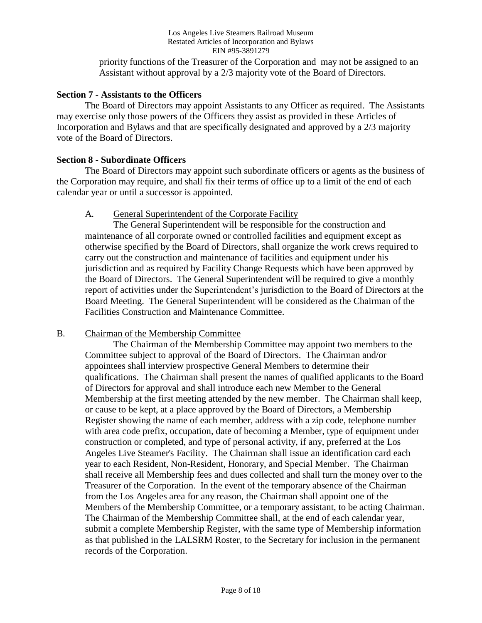priority functions of the Treasurer of the Corporation and may not be assigned to an Assistant without approval by a 2/3 majority vote of the Board of Directors.

#### **Section 7 - Assistants to the Officers**

The Board of Directors may appoint Assistants to any Officer as required. The Assistants may exercise only those powers of the Officers they assist as provided in these Articles of Incorporation and Bylaws and that are specifically designated and approved by a 2/3 majority vote of the Board of Directors.

#### **Section 8 - Subordinate Officers**

The Board of Directors may appoint such subordinate officers or agents as the business of the Corporation may require, and shall fix their terms of office up to a limit of the end of each calendar year or until a successor is appointed.

#### A. General Superintendent of the Corporate Facility

The General Superintendent will be responsible for the construction and maintenance of all corporate owned or controlled facilities and equipment except as otherwise specified by the Board of Directors, shall organize the work crews required to carry out the construction and maintenance of facilities and equipment under his jurisdiction and as required by Facility Change Requests which have been approved by the Board of Directors. The General Superintendent will be required to give a monthly report of activities under the Superintendent's jurisdiction to the Board of Directors at the Board Meeting. The General Superintendent will be considered as the Chairman of the Facilities Construction and Maintenance Committee.

#### B. Chairman of the Membership Committee

The Chairman of the Membership Committee may appoint two members to the Committee subject to approval of the Board of Directors. The Chairman and/or appointees shall interview prospective General Members to determine their qualifications. The Chairman shall present the names of qualified applicants to the Board of Directors for approval and shall introduce each new Member to the General Membership at the first meeting attended by the new member. The Chairman shall keep, or cause to be kept, at a place approved by the Board of Directors, a Membership Register showing the name of each member, address with a zip code, telephone number with area code prefix, occupation, date of becoming a Member, type of equipment under construction or completed, and type of personal activity, if any, preferred at the Los Angeles Live Steamer's Facility. The Chairman shall issue an identification card each year to each Resident, Non-Resident, Honorary, and Special Member. The Chairman shall receive all Membership fees and dues collected and shall turn the money over to the Treasurer of the Corporation. In the event of the temporary absence of the Chairman from the Los Angeles area for any reason, the Chairman shall appoint one of the Members of the Membership Committee, or a temporary assistant, to be acting Chairman. The Chairman of the Membership Committee shall, at the end of each calendar year, submit a complete Membership Register, with the same type of Membership information as that published in the LALSRM Roster, to the Secretary for inclusion in the permanent records of the Corporation.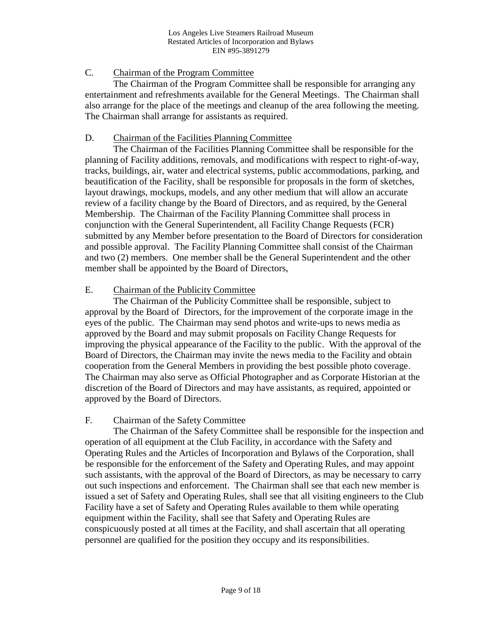# C. Chairman of the Program Committee

The Chairman of the Program Committee shall be responsible for arranging any entertainment and refreshments available for the General Meetings. The Chairman shall also arrange for the place of the meetings and cleanup of the area following the meeting. The Chairman shall arrange for assistants as required.

### D. Chairman of the Facilities Planning Committee

The Chairman of the Facilities Planning Committee shall be responsible for the planning of Facility additions, removals, and modifications with respect to right-of-way, tracks, buildings, air, water and electrical systems, public accommodations, parking, and beautification of the Facility, shall be responsible for proposals in the form of sketches, layout drawings, mockups, models, and any other medium that will allow an accurate review of a facility change by the Board of Directors, and as required, by the General Membership. The Chairman of the Facility Planning Committee shall process in conjunction with the General Superintendent, all Facility Change Requests (FCR) submitted by any Member before presentation to the Board of Directors for consideration and possible approval. The Facility Planning Committee shall consist of the Chairman and two (2) members. One member shall be the General Superintendent and the other member shall be appointed by the Board of Directors,

# E. Chairman of the Publicity Committee

The Chairman of the Publicity Committee shall be responsible, subject to approval by the Board of Directors, for the improvement of the corporate image in the eyes of the public. The Chairman may send photos and write-ups to news media as approved by the Board and may submit proposals on Facility Change Requests for improving the physical appearance of the Facility to the public. With the approval of the Board of Directors, the Chairman may invite the news media to the Facility and obtain cooperation from the General Members in providing the best possible photo coverage. The Chairman may also serve as Official Photographer and as Corporate Historian at the discretion of the Board of Directors and may have assistants, as required, appointed or approved by the Board of Directors.

#### F. Chairman of the Safety Committee

The Chairman of the Safety Committee shall be responsible for the inspection and operation of all equipment at the Club Facility, in accordance with the Safety and Operating Rules and the Articles of Incorporation and Bylaws of the Corporation, shall be responsible for the enforcement of the Safety and Operating Rules, and may appoint such assistants, with the approval of the Board of Directors, as may be necessary to carry out such inspections and enforcement. The Chairman shall see that each new member is issued a set of Safety and Operating Rules, shall see that all visiting engineers to the Club Facility have a set of Safety and Operating Rules available to them while operating equipment within the Facility, shall see that Safety and Operating Rules are conspicuously posted at all times at the Facility, and shall ascertain that all operating personnel are qualified for the position they occupy and its responsibilities.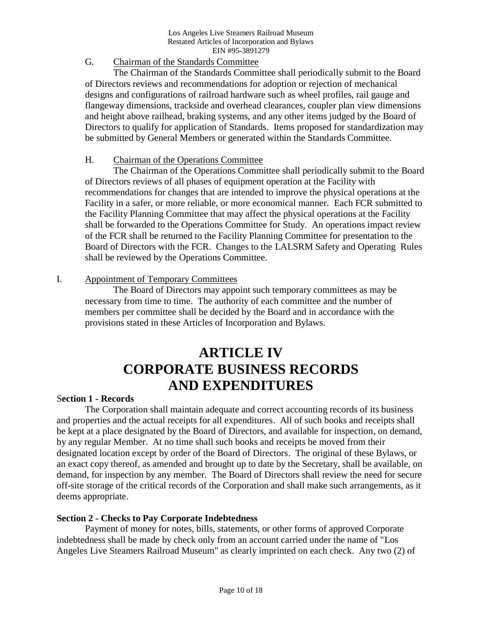# G. Chairman of the Standards Committee

The Chairman of the Standards Committee shall periodically submit to the Board of Directors reviews and recommendations for adoption or rejection of mechanical designs and configurations of railroad hardware such as wheel profiles, rail gauge and flangeway dimensions, trackside and overhead clearances, coupler plan view dimensions and height above railhead, braking systems, and any other items judged by the Board of Directors to qualify for application of Standards. Items proposed for standardization may be submitted by General Members or generated within the Standards Committee.

# H. Chairman of the Operations Committee

The Chairman of the Operations Committee shall periodically submit to the Board of Directors reviews of all phases of equipment operation at the Facility with recommendations for changes that are intended to improve the physical operations at the Facility in a safer, or more reliable, or more economical manner. Each FCR submitted to the Facility Planning Committee that may affect the physical operations at the Facility shall be forwarded to the Operations Committee for Study. An operations impact review of the FCR shall be returned to the Facility Planning Committee for presentation to the Board of Directors with the FCR. Changes to the LALSRM Safety and Operating Rules shall be reviewed by the Operations Committee.

# I. Appointment of Temporary Committees

The Board of Directors may appoint such temporary committees as may be necessary from time to time. The authority of each committee and the number of members per committee shall be decided by the Board and in accordance with the provisions stated in these Articles of Incorporation and Bylaws.

# **ARTICLE IV CORPORATE BUSINESS RECORDS AND EXPENDITURES**

#### S**ection 1 - Records**

The Corporation shall maintain adequate and correct accounting records of its business and properties and the actual receipts for all expenditures. All of such books and receipts shall be kept at a place designated by the Board of Directors, and available for inspection, on demand, by any regular Member. At no time shall such books and receipts be moved from their designated location except by order of the Board of Directors. The original of these Bylaws, or an exact copy thereof, as amended and brought up to date by the Secretary, shall be available, on demand, for inspection by any member. The Board of Directors shall review the need for secure off-site storage of the critical records of the Corporation and shall make such arrangements, as it deems appropriate.

#### **Section 2 - Checks to Pay Corporate Indebtedness**

Payment of money for notes, bills, statements, or other forms of approved Corporate indebtedness shall be made by check only from an account carried under the name of "Los Angeles Live Steamers Railroad Museum" as clearly imprinted on each check. Any two (2) of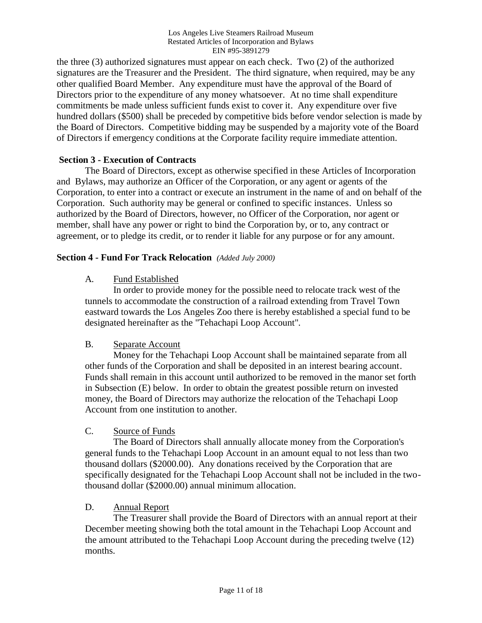the three (3) authorized signatures must appear on each check. Two (2) of the authorized signatures are the Treasurer and the President. The third signature, when required, may be any other qualified Board Member. Any expenditure must have the approval of the Board of Directors prior to the expenditure of any money whatsoever. At no time shall expenditure commitments be made unless sufficient funds exist to cover it. Any expenditure over five hundred dollars (\$500) shall be preceded by competitive bids before vendor selection is made by the Board of Directors. Competitive bidding may be suspended by a majority vote of the Board of Directors if emergency conditions at the Corporate facility require immediate attention.

# **Section 3 - Execution of Contracts**

The Board of Directors, except as otherwise specified in these Articles of Incorporation and Bylaws, may authorize an Officer of the Corporation, or any agent or agents of the Corporation, to enter into a contract or execute an instrument in the name of and on behalf of the Corporation. Such authority may be general or confined to specific instances. Unless so authorized by the Board of Directors, however, no Officer of the Corporation, nor agent or member, shall have any power or right to bind the Corporation by, or to, any contract or agreement, or to pledge its credit, or to render it liable for any purpose or for any amount.

# **Section 4 - Fund For Track Relocation** *(Added July 2000)*

# A. Fund Established

In order to provide money for the possible need to relocate track west of the tunnels to accommodate the construction of a railroad extending from Travel Town eastward towards the Los Angeles Zoo there is hereby established a special fund to be designated hereinafter as the "Tehachapi Loop Account".

#### B. Separate Account

Money for the Tehachapi Loop Account shall be maintained separate from all other funds of the Corporation and shall be deposited in an interest bearing account. Funds shall remain in this account until authorized to be removed in the manor set forth in Subsection (E) below. In order to obtain the greatest possible return on invested money, the Board of Directors may authorize the relocation of the Tehachapi Loop Account from one institution to another.

#### C. Source of Funds

The Board of Directors shall annually allocate money from the Corporation's general funds to the Tehachapi Loop Account in an amount equal to not less than two thousand dollars (\$2000.00). Any donations received by the Corporation that are specifically designated for the Tehachapi Loop Account shall not be included in the twothousand dollar (\$2000.00) annual minimum allocation.

#### D. Annual Report

The Treasurer shall provide the Board of Directors with an annual report at their December meeting showing both the total amount in the Tehachapi Loop Account and the amount attributed to the Tehachapi Loop Account during the preceding twelve (12) months.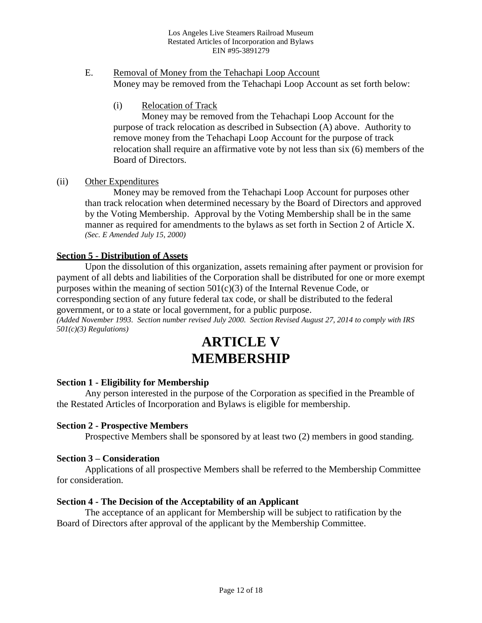- E. Removal of Money from the Tehachapi Loop Account Money may be removed from the Tehachapi Loop Account as set forth below:
	- (i) Relocation of Track

Money may be removed from the Tehachapi Loop Account for the purpose of track relocation as described in Subsection (A) above. Authority to remove money from the Tehachapi Loop Account for the purpose of track relocation shall require an affirmative vote by not less than six (6) members of the Board of Directors.

# (ii) Other Expenditures

Money may be removed from the Tehachapi Loop Account for purposes other than track relocation when determined necessary by the Board of Directors and approved by the Voting Membership. Approval by the Voting Membership shall be in the same manner as required for amendments to the bylaws as set forth in Section 2 of Article X. *(Sec. E Amended July 15, 2000)*

# **Section 5 - Distribution of Assets**

Upon the dissolution of this organization, assets remaining after payment or provision for payment of all debts and liabilities of the Corporation shall be distributed for one or more exempt purposes within the meaning of section  $501(c)(3)$  of the Internal Revenue Code, or corresponding section of any future federal tax code, or shall be distributed to the federal government, or to a state or local government, for a public purpose.

*(Added November 1993. Section number revised July 2000. Section Revised August 27, 2014 to comply with IRS 501(c)(3) Regulations)*

# **ARTICLE V MEMBERSHIP**

#### **Section 1 - Eligibility for Membership**

Any person interested in the purpose of the Corporation as specified in the Preamble of the Restated Articles of Incorporation and Bylaws is eligible for membership.

#### **Section 2 - Prospective Members**

Prospective Members shall be sponsored by at least two (2) members in good standing.

#### **Section 3 – Consideration**

Applications of all prospective Members shall be referred to the Membership Committee for consideration.

#### **Section 4 - The Decision of the Acceptability of an Applicant**

The acceptance of an applicant for Membership will be subject to ratification by the Board of Directors after approval of the applicant by the Membership Committee.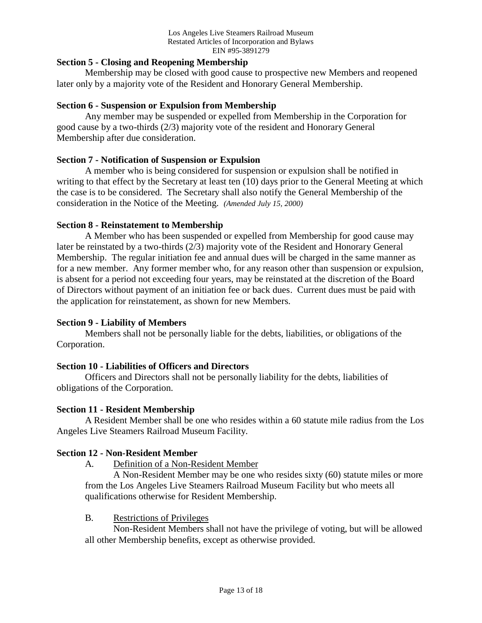# **Section 5 - Closing and Reopening Membership**

Membership may be closed with good cause to prospective new Members and reopened later only by a majority vote of the Resident and Honorary General Membership.

#### **Section 6 - Suspension or Expulsion from Membership**

Any member may be suspended or expelled from Membership in the Corporation for good cause by a two-thirds (2/3) majority vote of the resident and Honorary General Membership after due consideration.

# **Section 7 - Notification of Suspension or Expulsion**

A member who is being considered for suspension or expulsion shall be notified in writing to that effect by the Secretary at least ten (10) days prior to the General Meeting at which the case is to be considered. The Secretary shall also notify the General Membership of the consideration in the Notice of the Meeting. *(Amended July 15, 2000)*

# **Section 8 - Reinstatement to Membership**

A Member who has been suspended or expelled from Membership for good cause may later be reinstated by a two-thirds (2/3) majority vote of the Resident and Honorary General Membership. The regular initiation fee and annual dues will be charged in the same manner as for a new member. Any former member who, for any reason other than suspension or expulsion, is absent for a period not exceeding four years, may be reinstated at the discretion of the Board of Directors without payment of an initiation fee or back dues. Current dues must be paid with the application for reinstatement, as shown for new Members.

# **Section 9 - Liability of Members**

Members shall not be personally liable for the debts, liabilities, or obligations of the Corporation.

#### **Section 10 - Liabilities of Officers and Directors**

Officers and Directors shall not be personally liability for the debts, liabilities of obligations of the Corporation.

#### **Section 11 - Resident Membership**

A Resident Member shall be one who resides within a 60 statute mile radius from the Los Angeles Live Steamers Railroad Museum Facility.

#### **Section 12 - Non-Resident Member**

A. Definition of a Non-Resident Member

A Non-Resident Member may be one who resides sixty (60) statute miles or more from the Los Angeles Live Steamers Railroad Museum Facility but who meets all qualifications otherwise for Resident Membership.

#### B. Restrictions of Privileges

Non-Resident Members shall not have the privilege of voting, but will be allowed all other Membership benefits, except as otherwise provided.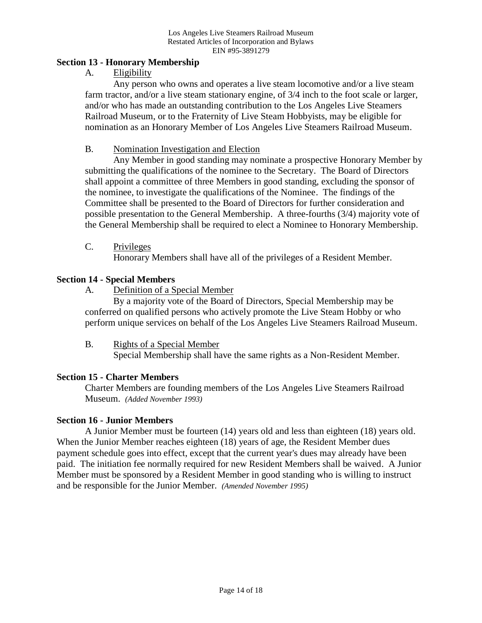### **Section 13 - Honorary Membership**

A. Eligibility

Any person who owns and operates a live steam locomotive and/or a live steam farm tractor, and/or a live steam stationary engine, of 3/4 inch to the foot scale or larger, and/or who has made an outstanding contribution to the Los Angeles Live Steamers Railroad Museum, or to the Fraternity of Live Steam Hobbyists, may be eligible for nomination as an Honorary Member of Los Angeles Live Steamers Railroad Museum.

# B. Nomination Investigation and Election

Any Member in good standing may nominate a prospective Honorary Member by submitting the qualifications of the nominee to the Secretary. The Board of Directors shall appoint a committee of three Members in good standing, excluding the sponsor of the nominee, to investigate the qualifications of the Nominee. The findings of the Committee shall be presented to the Board of Directors for further consideration and possible presentation to the General Membership. A three-fourths (3/4) majority vote of the General Membership shall be required to elect a Nominee to Honorary Membership.

C. Privileges

Honorary Members shall have all of the privileges of a Resident Member.

# **Section 14 - Special Members**

A. Definition of a Special Member

By a majority vote of the Board of Directors, Special Membership may be conferred on qualified persons who actively promote the Live Steam Hobby or who perform unique services on behalf of the Los Angeles Live Steamers Railroad Museum.

B. Rights of a Special Member

Special Membership shall have the same rights as a Non-Resident Member.

# **Section 15 - Charter Members**

Charter Members are founding members of the Los Angeles Live Steamers Railroad Museum. *(Added November 1993)*

#### **Section 16 - Junior Members**

A Junior Member must be fourteen (14) years old and less than eighteen (18) years old. When the Junior Member reaches eighteen (18) years of age, the Resident Member dues payment schedule goes into effect, except that the current year's dues may already have been paid. The initiation fee normally required for new Resident Members shall be waived. A Junior Member must be sponsored by a Resident Member in good standing who is willing to instruct and be responsible for the Junior Member. *(Amended November 1995)*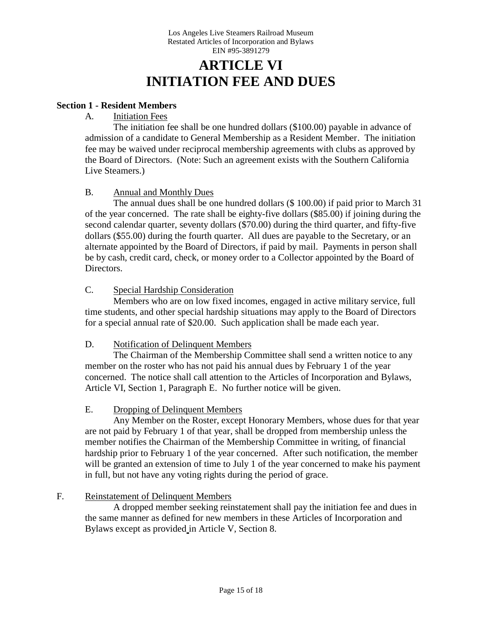# **ARTICLE VI INITIATION FEE AND DUES**

# **Section 1 - Resident Members**

# A. Initiation Fees

The initiation fee shall be one hundred dollars (\$100.00) payable in advance of admission of a candidate to General Membership as a Resident Member. The initiation fee may be waived under reciprocal membership agreements with clubs as approved by the Board of Directors. (Note: Such an agreement exists with the Southern California Live Steamers.)

# B. Annual and Monthly Dues

The annual dues shall be one hundred dollars (\$ 100.00) if paid prior to March 31 of the year concerned. The rate shall be eighty-five dollars (\$85.00) if joining during the second calendar quarter, seventy dollars (\$70.00) during the third quarter, and fifty-five dollars (\$55.00) during the fourth quarter. All dues are payable to the Secretary, or an alternate appointed by the Board of Directors, if paid by mail. Payments in person shall be by cash, credit card, check, or money order to a Collector appointed by the Board of Directors.

### C. Special Hardship Consideration

Members who are on low fixed incomes, engaged in active military service, full time students, and other special hardship situations may apply to the Board of Directors for a special annual rate of \$20.00. Such application shall be made each year.

#### D. Notification of Delinquent Members

The Chairman of the Membership Committee shall send a written notice to any member on the roster who has not paid his annual dues by February 1 of the year concerned. The notice shall call attention to the Articles of Incorporation and Bylaws, Article VI, Section 1, Paragraph E. No further notice will be given.

#### E. Dropping of Delinquent Members

Any Member on the Roster, except Honorary Members, whose dues for that year are not paid by February 1 of that year, shall be dropped from membership unless the member notifies the Chairman of the Membership Committee in writing, of financial hardship prior to February 1 of the year concerned. After such notification, the member will be granted an extension of time to July 1 of the year concerned to make his payment in full, but not have any voting rights during the period of grace.

#### F. Reinstatement of Delinquent Members

A dropped member seeking reinstatement shall pay the initiation fee and dues in the same manner as defined for new members in these Articles of Incorporation and Bylaws except as provided in Article V, Section 8.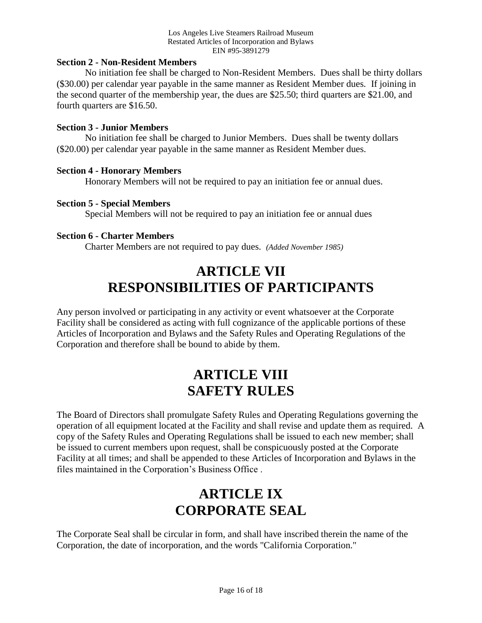#### **Section 2 - Non-Resident Members**

No initiation fee shall be charged to Non-Resident Members. Dues shall be thirty dollars (\$30.00) per calendar year payable in the same manner as Resident Member dues. If joining in the second quarter of the membership year, the dues are \$25.50; third quarters are \$21.00, and fourth quarters are \$16.50.

#### **Section 3 - Junior Members**

No initiation fee shall be charged to Junior Members. Dues shall be twenty dollars (\$20.00) per calendar year payable in the same manner as Resident Member dues.

#### **Section 4 - Honorary Members**

Honorary Members will not be required to pay an initiation fee or annual dues.

#### **Section 5 - Special Members**

Special Members will not be required to pay an initiation fee or annual dues

#### **Section 6 - Charter Members**

Charter Members are not required to pay dues. *(Added November 1985)*

# **ARTICLE VII RESPONSIBILITIES OF PARTICIPANTS**

Any person involved or participating in any activity or event whatsoever at the Corporate Facility shall be considered as acting with full cognizance of the applicable portions of these Articles of Incorporation and Bylaws and the Safety Rules and Operating Regulations of the Corporation and therefore shall be bound to abide by them.

# **ARTICLE VIII SAFETY RULES**

The Board of Directors shall promulgate Safety Rules and Operating Regulations governing the operation of all equipment located at the Facility and shall revise and update them as required. A copy of the Safety Rules and Operating Regulations shall be issued to each new member; shall be issued to current members upon request, shall be conspicuously posted at the Corporate Facility at all times; and shall be appended to these Articles of Incorporation and Bylaws in the files maintained in the Corporation's Business Office .

# **ARTICLE IX CORPORATE SEAL**

The Corporate Seal shall be circular in form, and shall have inscribed therein the name of the Corporation, the date of incorporation, and the words "California Corporation."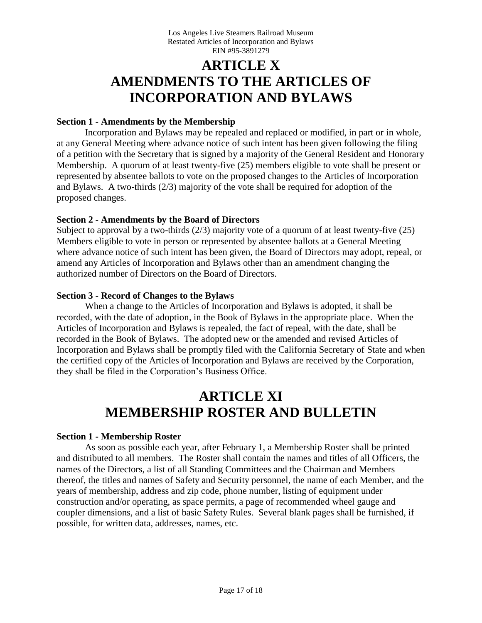# **ARTICLE X AMENDMENTS TO THE ARTICLES OF INCORPORATION AND BYLAWS**

#### **Section 1 - Amendments by the Membership**

Incorporation and Bylaws may be repealed and replaced or modified, in part or in whole, at any General Meeting where advance notice of such intent has been given following the filing of a petition with the Secretary that is signed by a majority of the General Resident and Honorary Membership. A quorum of at least twenty-five (25) members eligible to vote shall be present or represented by absentee ballots to vote on the proposed changes to the Articles of Incorporation and Bylaws. A two-thirds (2/3) majority of the vote shall be required for adoption of the proposed changes.

# **Section 2 - Amendments by the Board of Directors**

Subject to approval by a two-thirds (2/3) majority vote of a quorum of at least twenty-five (25) Members eligible to vote in person or represented by absentee ballots at a General Meeting where advance notice of such intent has been given, the Board of Directors may adopt, repeal, or amend any Articles of Incorporation and Bylaws other than an amendment changing the authorized number of Directors on the Board of Directors.

# **Section 3 - Record of Changes to the Bylaws**

When a change to the Articles of Incorporation and Bylaws is adopted, it shall be recorded, with the date of adoption, in the Book of Bylaws in the appropriate place. When the Articles of Incorporation and Bylaws is repealed, the fact of repeal, with the date, shall be recorded in the Book of Bylaws. The adopted new or the amended and revised Articles of Incorporation and Bylaws shall be promptly filed with the California Secretary of State and when the certified copy of the Articles of Incorporation and Bylaws are received by the Corporation, they shall be filed in the Corporation's Business Office.

# **ARTICLE XI MEMBERSHIP ROSTER AND BULLETIN**

#### **Section 1 - Membership Roster**

As soon as possible each year, after February 1, a Membership Roster shall be printed and distributed to all members. The Roster shall contain the names and titles of all Officers, the names of the Directors, a list of all Standing Committees and the Chairman and Members thereof, the titles and names of Safety and Security personnel, the name of each Member, and the years of membership, address and zip code, phone number, listing of equipment under construction and/or operating, as space permits, a page of recommended wheel gauge and coupler dimensions, and a list of basic Safety Rules. Several blank pages shall be furnished, if possible, for written data, addresses, names, etc.